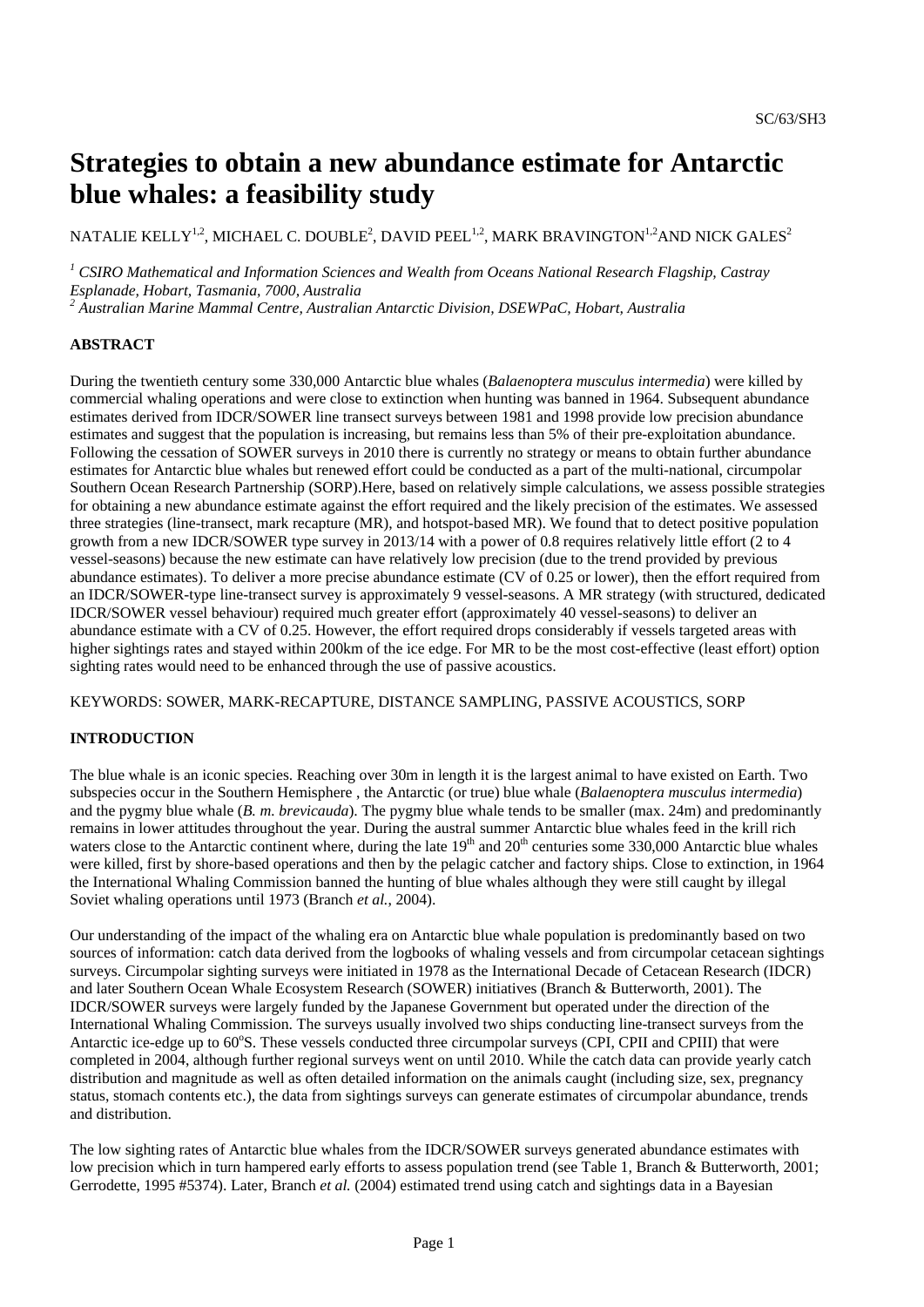# **Strategies to obtain a new abundance estimate for Antarctic blue whales: a feasibility study**

NATALIE KELLY $^{1,2}$ , MICHAEL C. DOUBLE $^2$ , DAVID PEEL $^{1,2}$ , MARK BRAVINGTON $^{1,2}$ AND NICK GALES $^2$ 

<sup>1</sup> CSIRO Mathematical and Information Sciences and Wealth from Oceans National Research Flagship, Castray *Esplanade, Hobart, Tasmania, 7000, Australia 2 Australian Marine Mammal Centre, Australian Antarctic Division, DSEWPaC, Hobart, Australia* 

### **ABSTRACT**

During the twentieth century some 330,000 Antarctic blue whales (*Balaenoptera musculus intermedia*) were killed by commercial whaling operations and were close to extinction when hunting was banned in 1964. Subsequent abundance estimates derived from IDCR/SOWER line transect surveys between 1981 and 1998 provide low precision abundance estimates and suggest that the population is increasing, but remains less than 5% of their pre-exploitation abundance. Following the cessation of SOWER surveys in 2010 there is currently no strategy or means to obtain further abundance estimates for Antarctic blue whales but renewed effort could be conducted as a part of the multi-national, circumpolar Southern Ocean Research Partnership (SORP).Here, based on relatively simple calculations, we assess possible strategies for obtaining a new abundance estimate against the effort required and the likely precision of the estimates. We assessed three strategies (line-transect, mark recapture (MR), and hotspot-based MR). We found that to detect positive population growth from a new IDCR/SOWER type survey in 2013/14 with a power of 0.8 requires relatively little effort (2 to 4 vessel-seasons) because the new estimate can have relatively low precision (due to the trend provided by previous abundance estimates). To deliver a more precise abundance estimate (CV of 0.25 or lower), then the effort required from an IDCR/SOWER-type line-transect survey is approximately 9 vessel-seasons. A MR strategy (with structured, dedicated IDCR/SOWER vessel behaviour) required much greater effort (approximately 40 vessel-seasons) to deliver an abundance estimate with a CV of 0.25. However, the effort required drops considerably if vessels targeted areas with higher sightings rates and stayed within 200km of the ice edge. For MR to be the most cost-effective (least effort) option sighting rates would need to be enhanced through the use of passive acoustics.

KEYWORDS: SOWER, MARK-RECAPTURE, DISTANCE SAMPLING, PASSIVE ACOUSTICS, SORP

## **INTRODUCTION**

The blue whale is an iconic species. Reaching over 30m in length it is the largest animal to have existed on Earth. Two subspecies occur in the Southern Hemisphere , the Antarctic (or true) blue whale (*Balaenoptera musculus intermedia*) and the pygmy blue whale (*B. m. brevicauda*). The pygmy blue whale tends to be smaller (max. 24m) and predominantly remains in lower attitudes throughout the year. During the austral summer Antarctic blue whales feed in the krill rich waters close to the Antarctic continent where, during the late  $19<sup>th</sup>$  and  $20<sup>th</sup>$  centuries some 330,000 Antarctic blue whales were killed, first by shore-based operations and then by the pelagic catcher and factory ships. Close to extinction, in 1964 the International Whaling Commission banned the hunting of blue whales although they were still caught by illegal Soviet whaling operations until 1973 (Branch *et al.*, 2004).

Our understanding of the impact of the whaling era on Antarctic blue whale population is predominantly based on two sources of information: catch data derived from the logbooks of whaling vessels and from circumpolar cetacean sightings surveys. Circumpolar sighting surveys were initiated in 1978 as the International Decade of Cetacean Research (IDCR) and later Southern Ocean Whale Ecosystem Research (SOWER) initiatives (Branch & Butterworth, 2001). The IDCR/SOWER surveys were largely funded by the Japanese Government but operated under the direction of the International Whaling Commission. The surveys usually involved two ships conducting line-transect surveys from the Antarctic ice-edge up to 60°S. These vessels conducted three circumpolar surveys (CPI, CPII and CPIII) that were completed in 2004, although further regional surveys went on until 2010. While the catch data can provide yearly catch distribution and magnitude as well as often detailed information on the animals caught (including size, sex, pregnancy status, stomach contents etc.), the data from sightings surveys can generate estimates of circumpolar abundance, trends and distribution.

The low sighting rates of Antarctic blue whales from the IDCR/SOWER surveys generated abundance estimates with low precision which in turn hampered early efforts to assess population trend (see Table 1, Branch & Butterworth, 2001; Gerrodette, 1995 #5374). Later, Branch *et al.* (2004) estimated trend using catch and sightings data in a Bayesian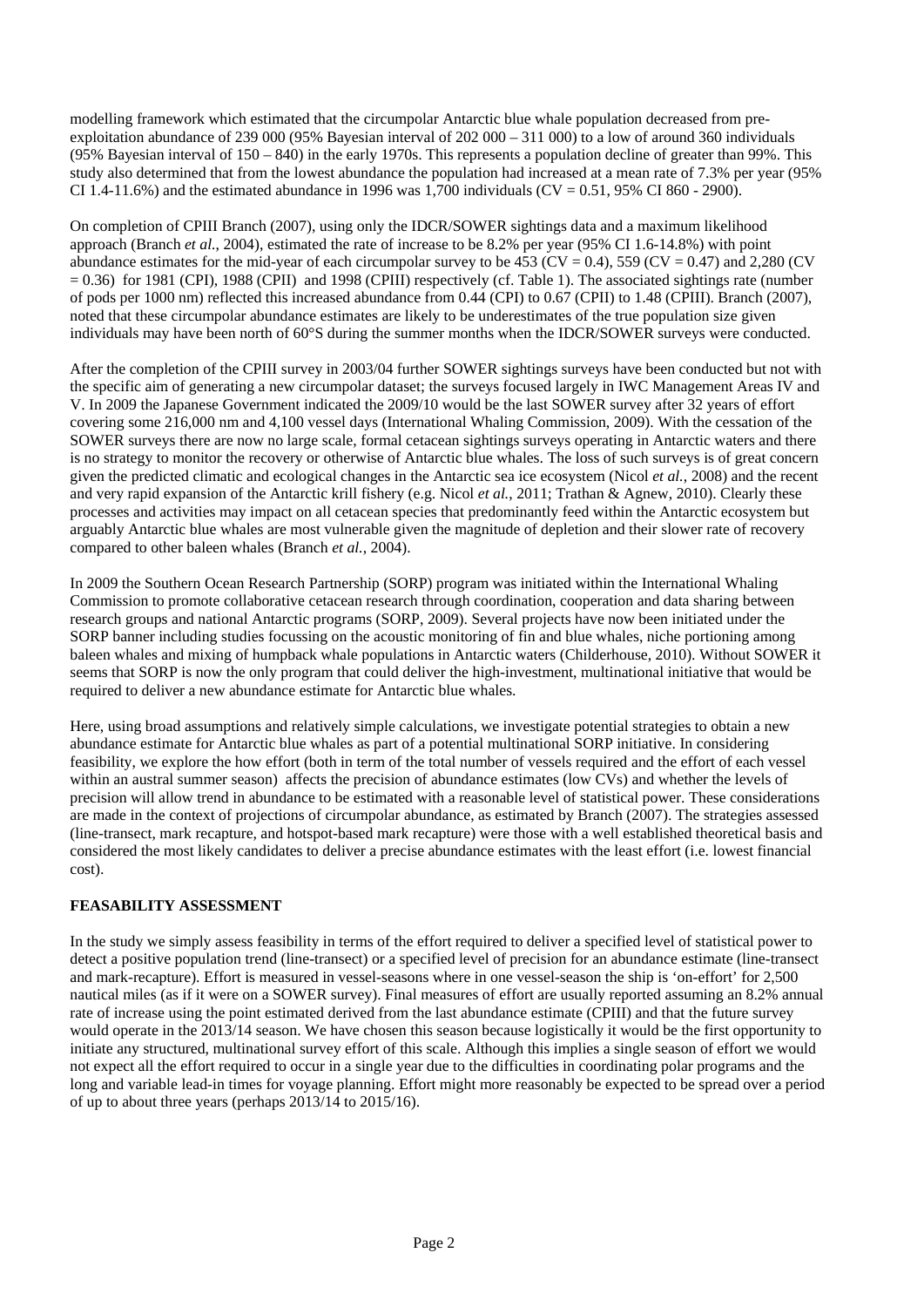modelling framework which estimated that the circumpolar Antarctic blue whale population decreased from preexploitation abundance of 239 000 (95% Bayesian interval of  $202000 - 311000$ ) to a low of around 360 individuals (95% Bayesian interval of  $150 - 840$ ) in the early 1970s. This represents a population decline of greater than 99%. This study also determined that from the lowest abundance the population had increased at a mean rate of 7.3% per year (95% CI 1.4-11.6%) and the estimated abundance in 1996 was 1,700 individuals (CV = 0.51, 95% CI 860 - 2900).

On completion of CPIII Branch (2007), using only the IDCR/SOWER sightings data and a maximum likelihood approach (Branch *et al.*, 2004), estimated the rate of increase to be 8.2% per year (95% CI 1.6-14.8%) with point abundance estimates for the mid-year of each circumpolar survey to be 453 ( $CV = 0.4$ ), 559 ( $CV = 0.47$ ) and 2,280 (CV  $= 0.36$ ) for 1981 (CPI), 1988 (CPII) and 1998 (CPIII) respectively (cf. Table 1). The associated sightings rate (number of pods per 1000 nm) reflected this increased abundance from 0.44 (CPI) to 0.67 (CPII) to 1.48 (CPIII). Branch (2007), noted that these circumpolar abundance estimates are likely to be underestimates of the true population size given individuals may have been north of 60°S during the summer months when the IDCR/SOWER surveys were conducted.

After the completion of the CPIII survey in 2003/04 further SOWER sightings surveys have been conducted but not with the specific aim of generating a new circumpolar dataset; the surveys focused largely in IWC Management Areas IV and V. In 2009 the Japanese Government indicated the 2009/10 would be the last SOWER survey after 32 years of effort covering some 216,000 nm and 4,100 vessel days (International Whaling Commission, 2009). With the cessation of the SOWER surveys there are now no large scale, formal cetacean sightings surveys operating in Antarctic waters and there is no strategy to monitor the recovery or otherwise of Antarctic blue whales. The loss of such surveys is of great concern given the predicted climatic and ecological changes in the Antarctic sea ice ecosystem (Nicol *et al.*, 2008) and the recent and very rapid expansion of the Antarctic krill fishery (e.g. Nicol *et al.*, 2011; Trathan & Agnew, 2010). Clearly these processes and activities may impact on all cetacean species that predominantly feed within the Antarctic ecosystem but arguably Antarctic blue whales are most vulnerable given the magnitude of depletion and their slower rate of recovery compared to other baleen whales (Branch *et al.*, 2004).

In 2009 the Southern Ocean Research Partnership (SORP) program was initiated within the International Whaling Commission to promote collaborative cetacean research through coordination, cooperation and data sharing between research groups and national Antarctic programs (SORP, 2009). Several projects have now been initiated under the SORP banner including studies focussing on the acoustic monitoring of fin and blue whales, niche portioning among baleen whales and mixing of humpback whale populations in Antarctic waters (Childerhouse, 2010). Without SOWER it seems that SORP is now the only program that could deliver the high-investment, multinational initiative that would be required to deliver a new abundance estimate for Antarctic blue whales.

Here, using broad assumptions and relatively simple calculations, we investigate potential strategies to obtain a new abundance estimate for Antarctic blue whales as part of a potential multinational SORP initiative. In considering feasibility, we explore the how effort (both in term of the total number of vessels required and the effort of each vessel within an austral summer season) affects the precision of abundance estimates (low CVs) and whether the levels of precision will allow trend in abundance to be estimated with a reasonable level of statistical power. These considerations are made in the context of projections of circumpolar abundance, as estimated by Branch (2007). The strategies assessed (line-transect, mark recapture, and hotspot-based mark recapture) were those with a well established theoretical basis and considered the most likely candidates to deliver a precise abundance estimates with the least effort (i.e. lowest financial cost).

## **FEASABILITY ASSESSMENT**

In the study we simply assess feasibility in terms of the effort required to deliver a specified level of statistical power to detect a positive population trend (line-transect) or a specified level of precision for an abundance estimate (line-transect and mark-recapture). Effort is measured in vessel-seasons where in one vessel-season the ship is 'on-effort' for 2,500 nautical miles (as if it were on a SOWER survey). Final measures of effort are usually reported assuming an 8.2% annual rate of increase using the point estimated derived from the last abundance estimate (CPIII) and that the future survey would operate in the 2013/14 season. We have chosen this season because logistically it would be the first opportunity to initiate any structured, multinational survey effort of this scale. Although this implies a single season of effort we would not expect all the effort required to occur in a single year due to the difficulties in coordinating polar programs and the long and variable lead-in times for voyage planning. Effort might more reasonably be expected to be spread over a period of up to about three years (perhaps 2013/14 to 2015/16).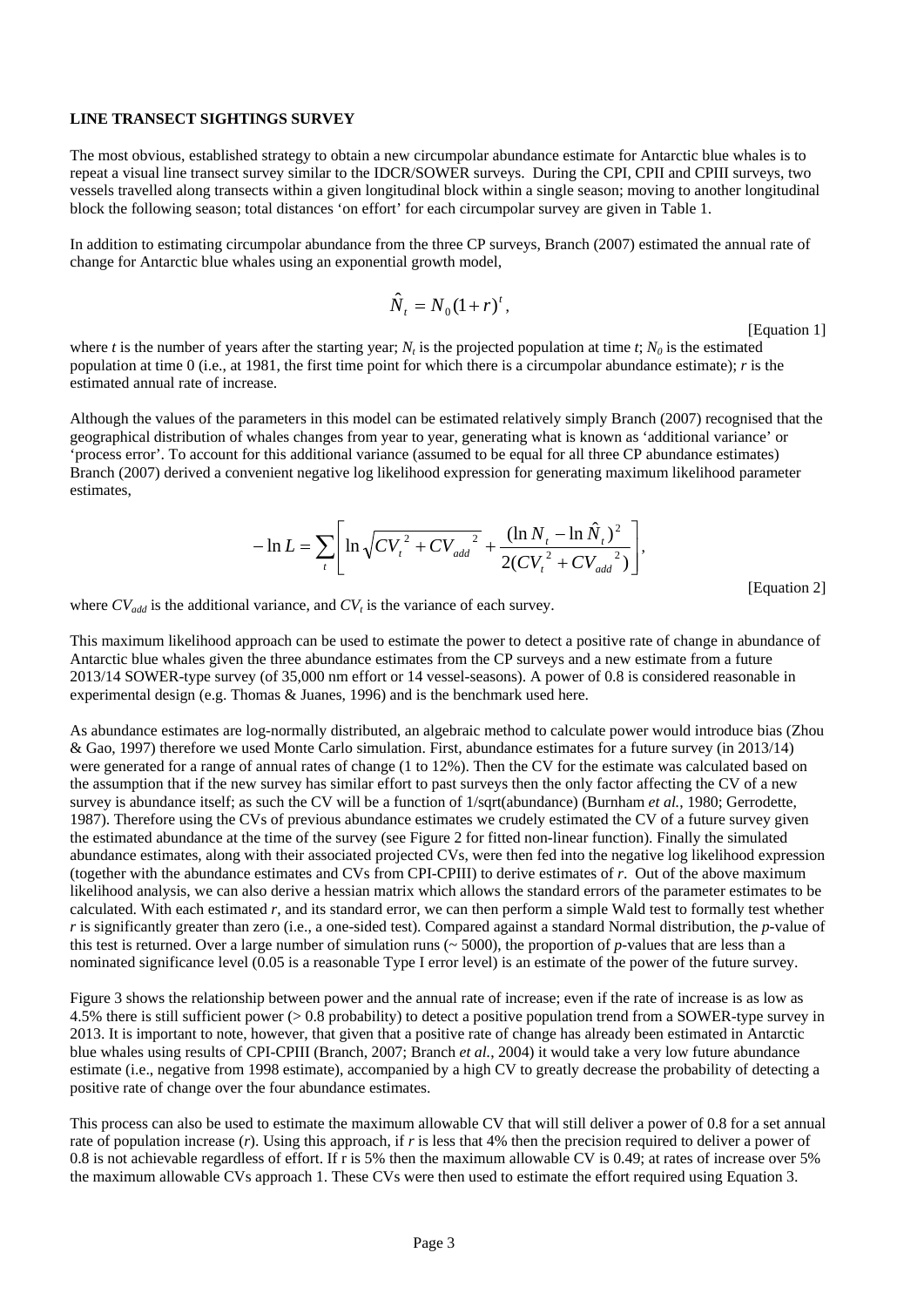#### **LINE TRANSECT SIGHTINGS SURVEY**

The most obvious, established strategy to obtain a new circumpolar abundance estimate for Antarctic blue whales is to repeat a visual line transect survey similar to the IDCR/SOWER surveys. During the CPI, CPII and CPIII surveys, two vessels travelled along transects within a given longitudinal block within a single season; moving to another longitudinal block the following season; total distances 'on effort' for each circumpolar survey are given in Table 1.

In addition to estimating circumpolar abundance from the three CP surveys, Branch (2007) estimated the annual rate of change for Antarctic blue whales using an exponential growth model,

$$
\hat{N}_t = N_0 (1+r)^t,
$$

[Equation 1]

where *t* is the number of years after the starting year;  $N_t$  is the projected population at time  $t$ ;  $N_0$  is the estimated population at time 0 (i.e., at 1981, the first time point for which there is a circumpolar abundance estimate); *r* is the estimated annual rate of increase.

Although the values of the parameters in this model can be estimated relatively simply Branch (2007) recognised that the geographical distribution of whales changes from year to year, generating what is known as 'additional variance' or 'process error'. To account for this additional variance (assumed to be equal for all three CP abundance estimates) Branch (2007) derived a convenient negative log likelihood expression for generating maximum likelihood parameter estimates,

$$
-\ln L = \sum_{i} \left[ \ln \sqrt{CV_{t}^{2} + CV_{add}^{2}} + \frac{(\ln N_{t} - \ln \hat{N}_{t})^{2}}{2(CV_{t}^{2} + CV_{add}^{2})} \right],
$$

[Equation 2]

where  $CV_{add}$  is the additional variance, and  $CV_t$  is the variance of each survey.

This maximum likelihood approach can be used to estimate the power to detect a positive rate of change in abundance of Antarctic blue whales given the three abundance estimates from the CP surveys and a new estimate from a future 2013/14 SOWER-type survey (of 35,000 nm effort or 14 vessel-seasons). A power of 0.8 is considered reasonable in experimental design (e.g. Thomas & Juanes, 1996) and is the benchmark used here.

As abundance estimates are log-normally distributed, an algebraic method to calculate power would introduce bias (Zhou & Gao, 1997) therefore we used Monte Carlo simulation. First, abundance estimates for a future survey (in 2013/14) were generated for a range of annual rates of change (1 to 12%). Then the CV for the estimate was calculated based on the assumption that if the new survey has similar effort to past surveys then the only factor affecting the CV of a new survey is abundance itself; as such the CV will be a function of 1/sqrt(abundance) (Burnham *et al.*, 1980; Gerrodette, 1987). Therefore using the CVs of previous abundance estimates we crudely estimated the CV of a future survey given the estimated abundance at the time of the survey (see Figure 2 for fitted non-linear function). Finally the simulated abundance estimates, along with their associated projected CVs, were then fed into the negative log likelihood expression (together with the abundance estimates and CVs from CPI-CPIII) to derive estimates of *r*. Out of the above maximum likelihood analysis, we can also derive a hessian matrix which allows the standard errors of the parameter estimates to be calculated. With each estimated *r*, and its standard error, we can then perform a simple Wald test to formally test whether *r* is significantly greater than zero (i.e., a one-sided test). Compared against a standard Normal distribution, the *p*-value of this test is returned. Over a large number of simulation runs ( $\sim$  5000), the proportion of *p*-values that are less than a nominated significance level (0.05 is a reasonable Type I error level) is an estimate of the power of the future survey.

Figure 3 shows the relationship between power and the annual rate of increase; even if the rate of increase is as low as 4.5% there is still sufficient power (> 0.8 probability) to detect a positive population trend from a SOWER-type survey in 2013. It is important to note, however, that given that a positive rate of change has already been estimated in Antarctic blue whales using results of CPI-CPIII (Branch, 2007; Branch *et al.*, 2004) it would take a very low future abundance estimate (i.e., negative from 1998 estimate), accompanied by a high CV to greatly decrease the probability of detecting a positive rate of change over the four abundance estimates.

This process can also be used to estimate the maximum allowable CV that will still deliver a power of 0.8 for a set annual rate of population increase (*r*). Using this approach, if *r* is less that 4% then the precision required to deliver a power of 0.8 is not achievable regardless of effort. If r is 5% then the maximum allowable CV is 0.49; at rates of increase over 5% the maximum allowable CVs approach 1. These CVs were then used to estimate the effort required using Equation 3.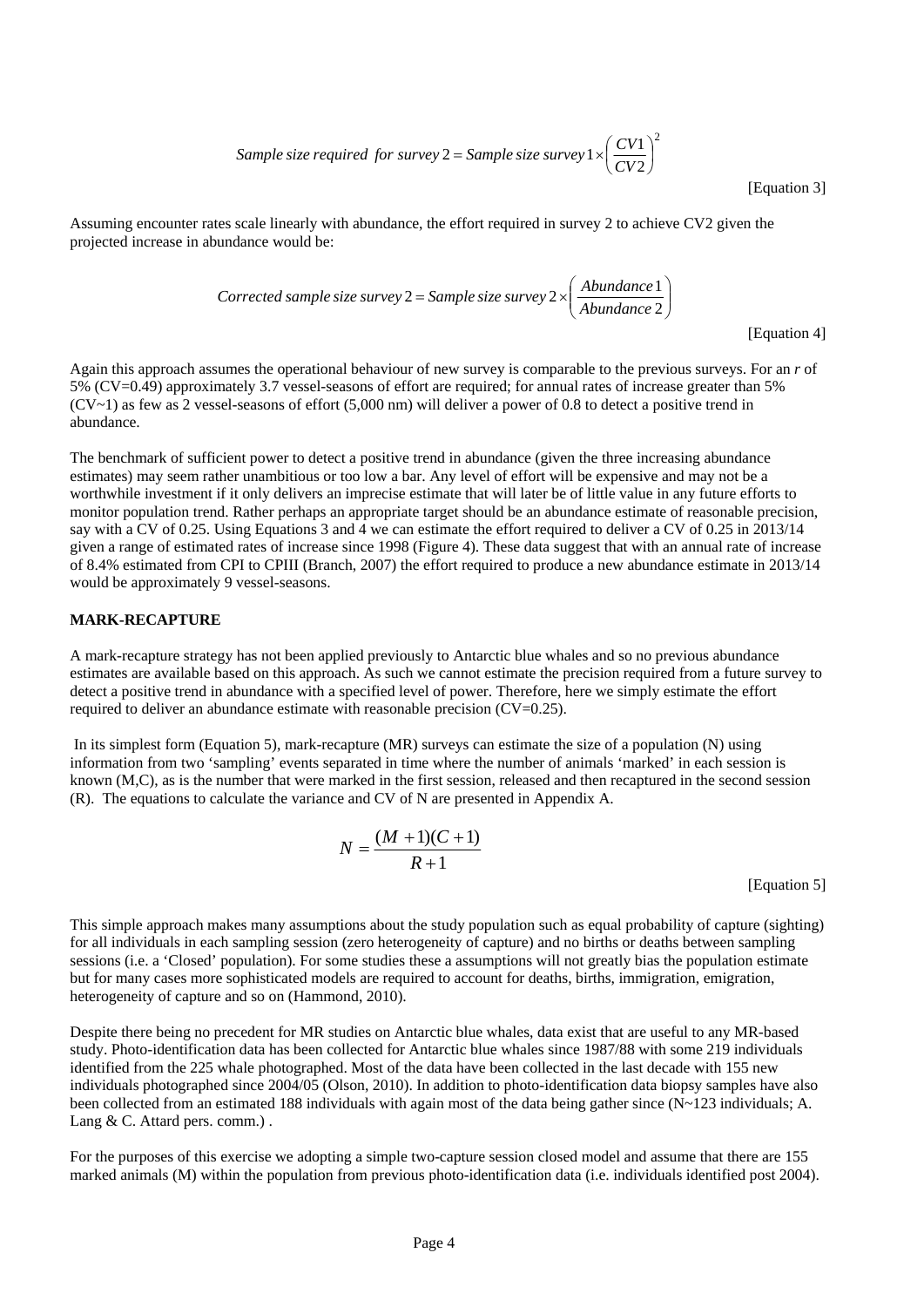Sample size required for survey 
$$
2 = \text{Sample size survey } 1 \times \left(\frac{CV1}{CV2}\right)^2
$$

[Equation 3]

Assuming encounter rates scale linearly with abundance, the effort required in survey 2 to achieve CV2 given the projected increase in abundance would be:

Corrected sample size survey 
$$
2 = \text{Sample size survey } 2 \times \left( \frac{\text{Abundance } 1}{\text{Abundance } 2} \right)
$$

[Equation 4]

Again this approach assumes the operational behaviour of new survey is comparable to the previous surveys. For an *r* of 5% (CV=0.49) approximately 3.7 vessel-seasons of effort are required; for annual rates of increase greater than 5%  $(CV~1)$  as few as 2 vessel-seasons of effort (5,000 nm) will deliver a power of 0.8 to detect a positive trend in abundance.

The benchmark of sufficient power to detect a positive trend in abundance (given the three increasing abundance estimates) may seem rather unambitious or too low a bar. Any level of effort will be expensive and may not be a worthwhile investment if it only delivers an imprecise estimate that will later be of little value in any future efforts to monitor population trend. Rather perhaps an appropriate target should be an abundance estimate of reasonable precision, say with a CV of 0.25. Using Equations 3 and 4 we can estimate the effort required to deliver a CV of 0.25 in 2013/14 given a range of estimated rates of increase since 1998 (Figure 4). These data suggest that with an annual rate of increase of 8.4% estimated from CPI to CPIII (Branch, 2007) the effort required to produce a new abundance estimate in 2013/14 would be approximately 9 vessel-seasons.

#### **MARK-RECAPTURE**

A mark-recapture strategy has not been applied previously to Antarctic blue whales and so no previous abundance estimates are available based on this approach. As such we cannot estimate the precision required from a future survey to detect a positive trend in abundance with a specified level of power. Therefore, here we simply estimate the effort required to deliver an abundance estimate with reasonable precision (CV=0.25).

 In its simplest form (Equation 5), mark-recapture (MR) surveys can estimate the size of a population (N) using information from two 'sampling' events separated in time where the number of animals 'marked' in each session is known (M,C), as is the number that were marked in the first session, released and then recaptured in the second session (R). The equations to calculate the variance and CV of N are presented in Appendix A.

$$
N = \frac{(M+1)(C+1)}{R+1}
$$

[Equation 5]

This simple approach makes many assumptions about the study population such as equal probability of capture (sighting) for all individuals in each sampling session (zero heterogeneity of capture) and no births or deaths between sampling sessions (i.e. a 'Closed' population). For some studies these a assumptions will not greatly bias the population estimate but for many cases more sophisticated models are required to account for deaths, births, immigration, emigration, heterogeneity of capture and so on (Hammond, 2010).

Despite there being no precedent for MR studies on Antarctic blue whales, data exist that are useful to any MR-based study. Photo-identification data has been collected for Antarctic blue whales since 1987/88 with some 219 individuals identified from the 225 whale photographed. Most of the data have been collected in the last decade with 155 new individuals photographed since 2004/05 (Olson, 2010). In addition to photo-identification data biopsy samples have also been collected from an estimated 188 individuals with again most of the data being gather since  $(N-123$  individuals; A. Lang & C. Attard pers. comm.).

For the purposes of this exercise we adopting a simple two-capture session closed model and assume that there are 155 marked animals (M) within the population from previous photo-identification data (i.e. individuals identified post 2004).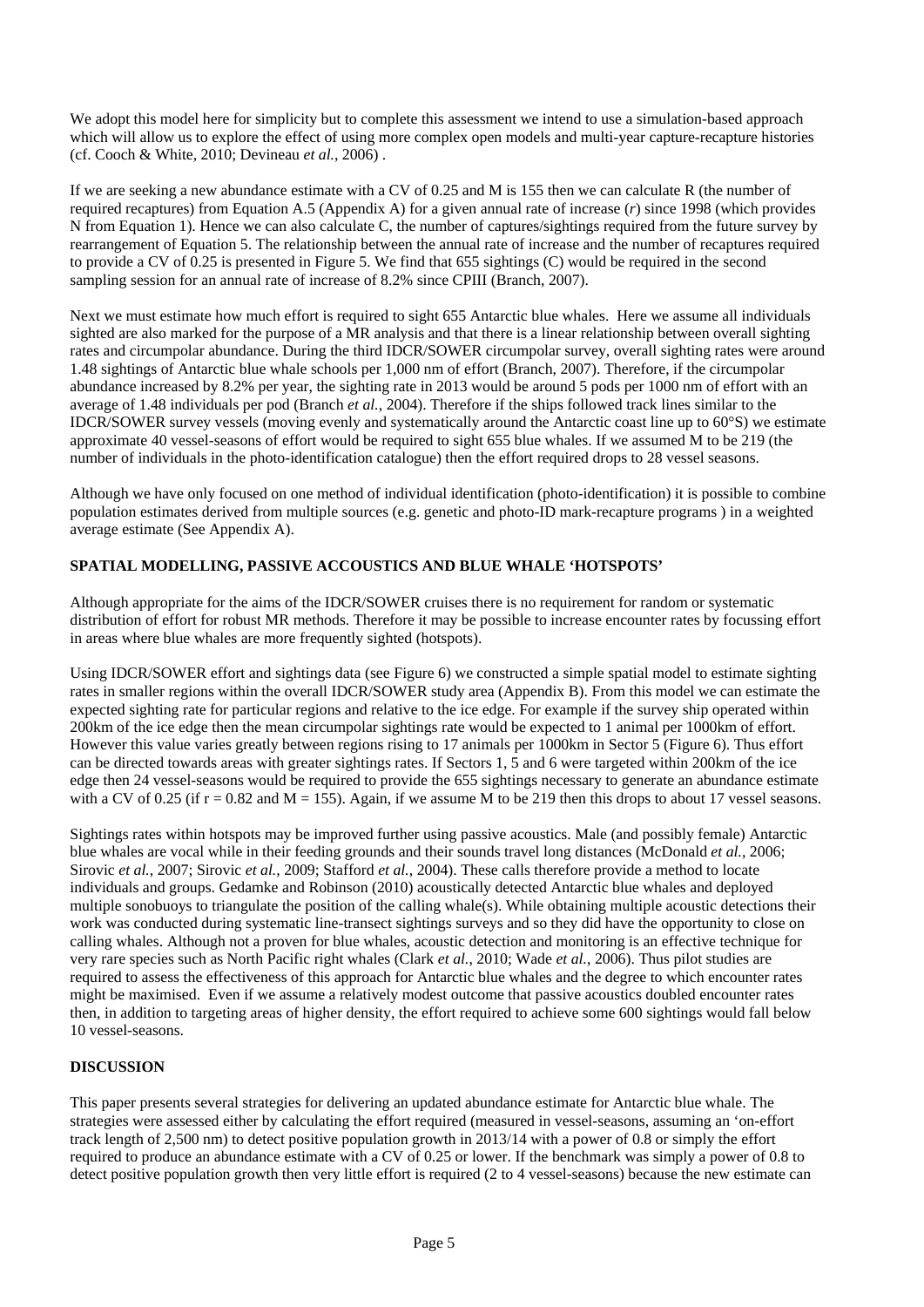We adopt this model here for simplicity but to complete this assessment we intend to use a simulation-based approach which will allow us to explore the effect of using more complex open models and multi-year capture-recapture histories (cf. Cooch & White, 2010; Devineau *et al.*, 2006) .

If we are seeking a new abundance estimate with a CV of 0.25 and M is 155 then we can calculate R (the number of required recaptures) from Equation A.5 (Appendix A) for a given annual rate of increase (*r*) since 1998 (which provides N from Equation 1). Hence we can also calculate C, the number of captures/sightings required from the future survey by rearrangement of Equation 5. The relationship between the annual rate of increase and the number of recaptures required to provide a CV of 0.25 is presented in Figure 5. We find that 655 sightings (C) would be required in the second sampling session for an annual rate of increase of 8.2% since CPIII (Branch, 2007).

Next we must estimate how much effort is required to sight 655 Antarctic blue whales. Here we assume all individuals sighted are also marked for the purpose of a MR analysis and that there is a linear relationship between overall sighting rates and circumpolar abundance. During the third IDCR/SOWER circumpolar survey, overall sighting rates were around 1.48 sightings of Antarctic blue whale schools per 1,000 nm of effort (Branch, 2007). Therefore, if the circumpolar abundance increased by 8.2% per year, the sighting rate in 2013 would be around 5 pods per 1000 nm of effort with an average of 1.48 individuals per pod (Branch *et al.*, 2004). Therefore if the ships followed track lines similar to the IDCR/SOWER survey vessels (moving evenly and systematically around the Antarctic coast line up to 60°S) we estimate approximate 40 vessel-seasons of effort would be required to sight 655 blue whales. If we assumed M to be 219 (the number of individuals in the photo-identification catalogue) then the effort required drops to 28 vessel seasons.

Although we have only focused on one method of individual identification (photo-identification) it is possible to combine population estimates derived from multiple sources (e.g. genetic and photo-ID mark-recapture programs ) in a weighted average estimate (See Appendix A).

## **SPATIAL MODELLING, PASSIVE ACCOUSTICS AND BLUE WHALE 'HOTSPOTS'**

Although appropriate for the aims of the IDCR/SOWER cruises there is no requirement for random or systematic distribution of effort for robust MR methods. Therefore it may be possible to increase encounter rates by focussing effort in areas where blue whales are more frequently sighted (hotspots).

Using IDCR/SOWER effort and sightings data (see Figure 6) we constructed a simple spatial model to estimate sighting rates in smaller regions within the overall IDCR/SOWER study area (Appendix B). From this model we can estimate the expected sighting rate for particular regions and relative to the ice edge. For example if the survey ship operated within 200km of the ice edge then the mean circumpolar sightings rate would be expected to 1 animal per 1000km of effort. However this value varies greatly between regions rising to 17 animals per 1000km in Sector 5 (Figure 6). Thus effort can be directed towards areas with greater sightings rates. If Sectors 1, 5 and 6 were targeted within 200km of the ice edge then 24 vessel-seasons would be required to provide the 655 sightings necessary to generate an abundance estimate with a CV of 0.25 (if  $r = 0.82$  and  $M = 155$ ). Again, if we assume M to be 219 then this drops to about 17 vessel seasons.

Sightings rates within hotspots may be improved further using passive acoustics. Male (and possibly female) Antarctic blue whales are vocal while in their feeding grounds and their sounds travel long distances (McDonald *et al.*, 2006; Sirovic *et al.*, 2007; Sirovic *et al.*, 2009; Stafford *et al.*, 2004). These calls therefore provide a method to locate individuals and groups. Gedamke and Robinson (2010) acoustically detected Antarctic blue whales and deployed multiple sonobuoys to triangulate the position of the calling whale(s). While obtaining multiple acoustic detections their work was conducted during systematic line-transect sightings surveys and so they did have the opportunity to close on calling whales. Although not a proven for blue whales, acoustic detection and monitoring is an effective technique for very rare species such as North Pacific right whales (Clark *et al.*, 2010; Wade *et al.*, 2006). Thus pilot studies are required to assess the effectiveness of this approach for Antarctic blue whales and the degree to which encounter rates might be maximised. Even if we assume a relatively modest outcome that passive acoustics doubled encounter rates then, in addition to targeting areas of higher density, the effort required to achieve some 600 sightings would fall below 10 vessel-seasons.

## **DISCUSSION**

This paper presents several strategies for delivering an updated abundance estimate for Antarctic blue whale. The strategies were assessed either by calculating the effort required (measured in vessel-seasons, assuming an 'on-effort track length of 2,500 nm) to detect positive population growth in 2013/14 with a power of 0.8 or simply the effort required to produce an abundance estimate with a CV of 0.25 or lower. If the benchmark was simply a power of 0.8 to detect positive population growth then very little effort is required (2 to 4 vessel-seasons) because the new estimate can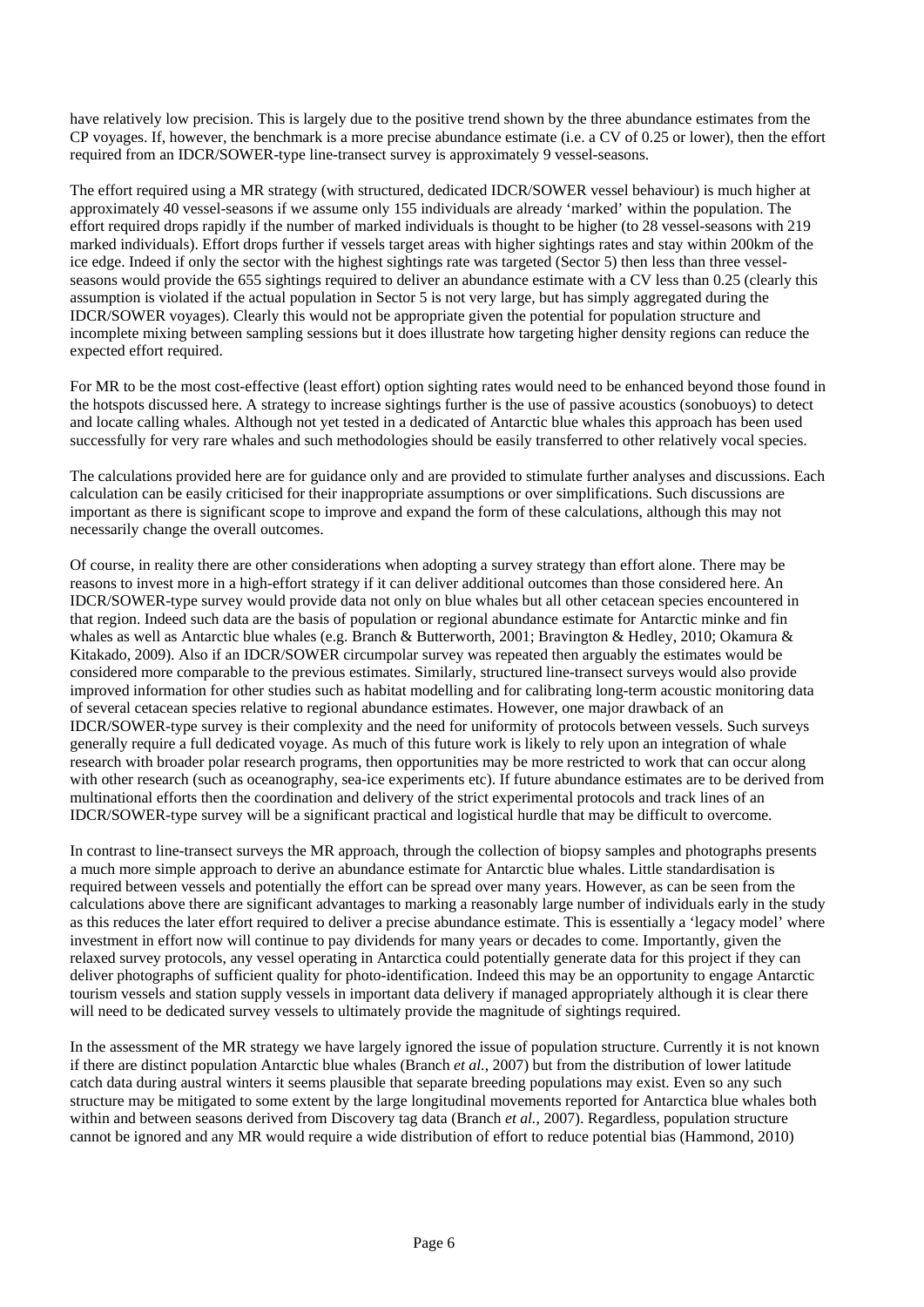have relatively low precision. This is largely due to the positive trend shown by the three abundance estimates from the CP voyages. If, however, the benchmark is a more precise abundance estimate (i.e. a CV of 0.25 or lower), then the effort required from an IDCR/SOWER-type line-transect survey is approximately 9 vessel-seasons.

The effort required using a MR strategy (with structured, dedicated IDCR/SOWER vessel behaviour) is much higher at approximately 40 vessel-seasons if we assume only 155 individuals are already 'marked' within the population. The effort required drops rapidly if the number of marked individuals is thought to be higher (to 28 vessel-seasons with 219 marked individuals). Effort drops further if vessels target areas with higher sightings rates and stay within 200km of the ice edge. Indeed if only the sector with the highest sightings rate was targeted (Sector 5) then less than three vesselseasons would provide the 655 sightings required to deliver an abundance estimate with a CV less than 0.25 (clearly this assumption is violated if the actual population in Sector 5 is not very large, but has simply aggregated during the IDCR/SOWER voyages). Clearly this would not be appropriate given the potential for population structure and incomplete mixing between sampling sessions but it does illustrate how targeting higher density regions can reduce the expected effort required.

For MR to be the most cost-effective (least effort) option sighting rates would need to be enhanced beyond those found in the hotspots discussed here. A strategy to increase sightings further is the use of passive acoustics (sonobuoys) to detect and locate calling whales. Although not yet tested in a dedicated of Antarctic blue whales this approach has been used successfully for very rare whales and such methodologies should be easily transferred to other relatively vocal species.

The calculations provided here are for guidance only and are provided to stimulate further analyses and discussions. Each calculation can be easily criticised for their inappropriate assumptions or over simplifications. Such discussions are important as there is significant scope to improve and expand the form of these calculations, although this may not necessarily change the overall outcomes.

Of course, in reality there are other considerations when adopting a survey strategy than effort alone. There may be reasons to invest more in a high-effort strategy if it can deliver additional outcomes than those considered here. An IDCR/SOWER-type survey would provide data not only on blue whales but all other cetacean species encountered in that region. Indeed such data are the basis of population or regional abundance estimate for Antarctic minke and fin whales as well as Antarctic blue whales (e.g. Branch & Butterworth, 2001; Bravington & Hedley, 2010; Okamura & Kitakado, 2009). Also if an IDCR/SOWER circumpolar survey was repeated then arguably the estimates would be considered more comparable to the previous estimates. Similarly, structured line-transect surveys would also provide improved information for other studies such as habitat modelling and for calibrating long-term acoustic monitoring data of several cetacean species relative to regional abundance estimates. However, one major drawback of an IDCR/SOWER-type survey is their complexity and the need for uniformity of protocols between vessels. Such surveys generally require a full dedicated voyage. As much of this future work is likely to rely upon an integration of whale research with broader polar research programs, then opportunities may be more restricted to work that can occur along with other research (such as oceanography, sea-ice experiments etc). If future abundance estimates are to be derived from multinational efforts then the coordination and delivery of the strict experimental protocols and track lines of an IDCR/SOWER-type survey will be a significant practical and logistical hurdle that may be difficult to overcome.

In contrast to line-transect surveys the MR approach, through the collection of biopsy samples and photographs presents a much more simple approach to derive an abundance estimate for Antarctic blue whales. Little standardisation is required between vessels and potentially the effort can be spread over many years. However, as can be seen from the calculations above there are significant advantages to marking a reasonably large number of individuals early in the study as this reduces the later effort required to deliver a precise abundance estimate. This is essentially a 'legacy model' where investment in effort now will continue to pay dividends for many years or decades to come. Importantly, given the relaxed survey protocols, any vessel operating in Antarctica could potentially generate data for this project if they can deliver photographs of sufficient quality for photo-identification. Indeed this may be an opportunity to engage Antarctic tourism vessels and station supply vessels in important data delivery if managed appropriately although it is clear there will need to be dedicated survey vessels to ultimately provide the magnitude of sightings required.

In the assessment of the MR strategy we have largely ignored the issue of population structure. Currently it is not known if there are distinct population Antarctic blue whales (Branch *et al.*, 2007) but from the distribution of lower latitude catch data during austral winters it seems plausible that separate breeding populations may exist. Even so any such structure may be mitigated to some extent by the large longitudinal movements reported for Antarctica blue whales both within and between seasons derived from Discovery tag data (Branch *et al.*, 2007). Regardless, population structure cannot be ignored and any MR would require a wide distribution of effort to reduce potential bias (Hammond, 2010)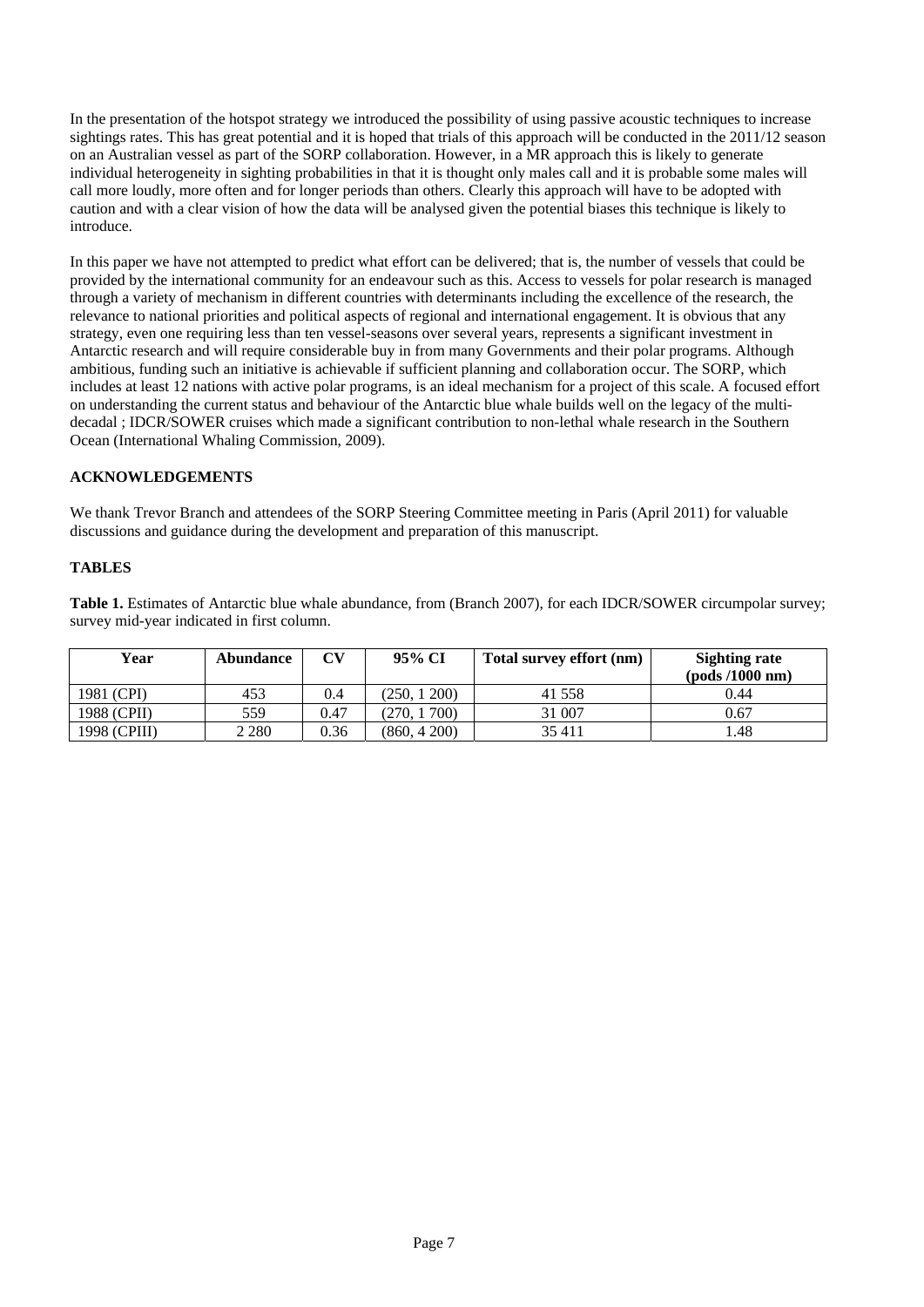In the presentation of the hotspot strategy we introduced the possibility of using passive acoustic techniques to increase sightings rates. This has great potential and it is hoped that trials of this approach will be conducted in the 2011/12 season on an Australian vessel as part of the SORP collaboration. However, in a MR approach this is likely to generate individual heterogeneity in sighting probabilities in that it is thought only males call and it is probable some males will call more loudly, more often and for longer periods than others. Clearly this approach will have to be adopted with caution and with a clear vision of how the data will be analysed given the potential biases this technique is likely to introduce.

In this paper we have not attempted to predict what effort can be delivered; that is, the number of vessels that could be provided by the international community for an endeavour such as this. Access to vessels for polar research is managed through a variety of mechanism in different countries with determinants including the excellence of the research, the relevance to national priorities and political aspects of regional and international engagement. It is obvious that any strategy, even one requiring less than ten vessel-seasons over several years, represents a significant investment in Antarctic research and will require considerable buy in from many Governments and their polar programs. Although ambitious, funding such an initiative is achievable if sufficient planning and collaboration occur. The SORP, which includes at least 12 nations with active polar programs, is an ideal mechanism for a project of this scale. A focused effort on understanding the current status and behaviour of the Antarctic blue whale builds well on the legacy of the multidecadal ; IDCR/SOWER cruises which made a significant contribution to non-lethal whale research in the Southern Ocean (International Whaling Commission, 2009).

## **ACKNOWLEDGEMENTS**

We thank Trevor Branch and attendees of the SORP Steering Committee meeting in Paris (April 2011) for valuable discussions and guidance during the development and preparation of this manuscript.

#### **TABLES**

**Table 1.** Estimates of Antarctic blue whale abundance, from (Branch 2007), for each IDCR/SOWER circumpolar survey; survey mid-year indicated in first column.

| Year         | Abundance | CV   | 95% CI      | Total survey effort (nm) | <b>Sighting rate</b><br>$\left( \text{pods} / 1000 \text{ nm} \right)$ |
|--------------|-----------|------|-------------|--------------------------|------------------------------------------------------------------------|
| 1981 (CPI)   | 453       | 0.4  | (250, 1200) | 41 558                   | 0.44                                                                   |
| 1988 (CPII)  | 559       | 0.47 | (270, 1700) | 31 007                   | 0.67                                                                   |
| 1998 (CPIII) | 2 2 8 0   | 0.36 | (860, 4200) | 35 411                   | 1.48                                                                   |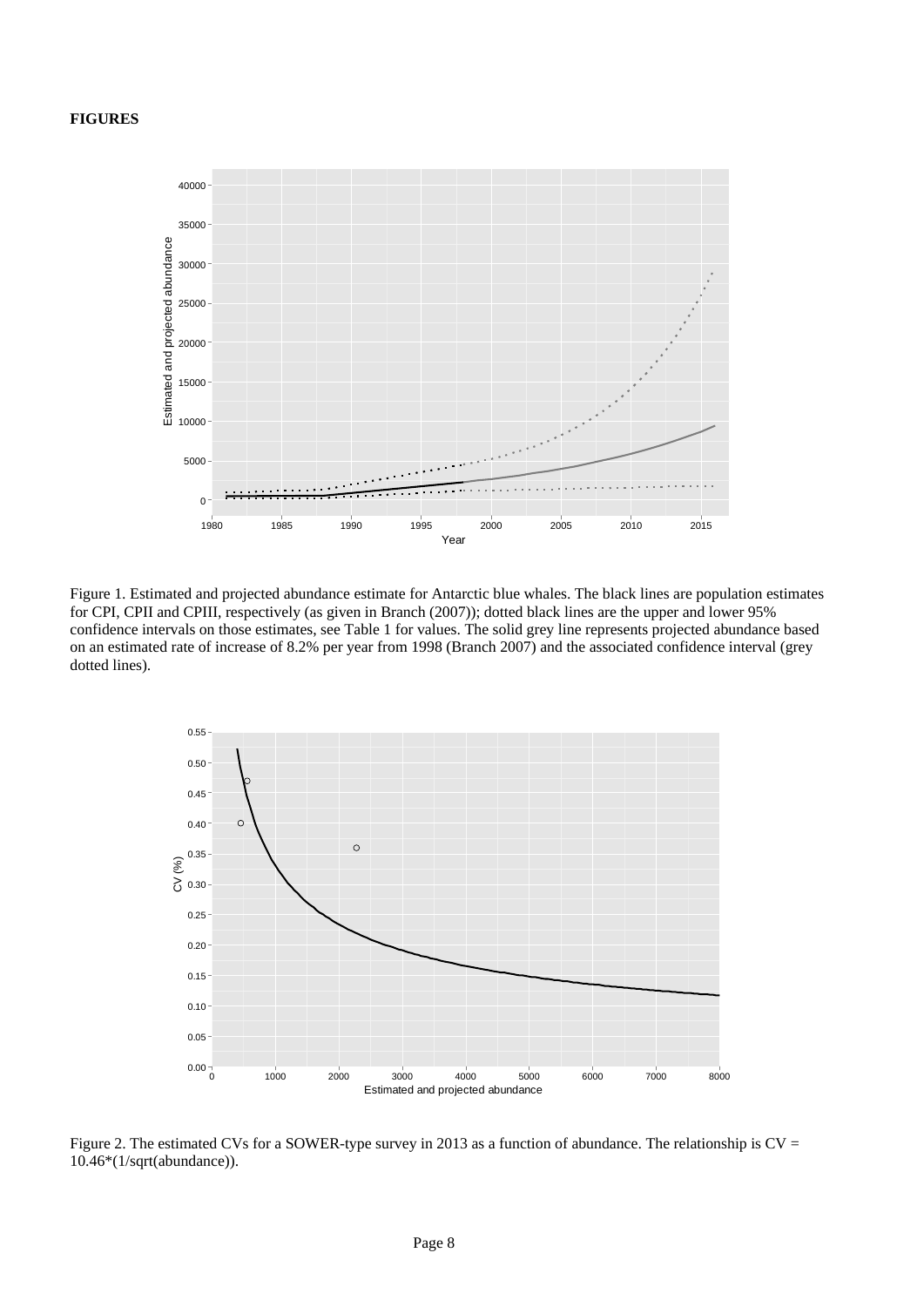#### **FIGURES**



Figure 1. Estimated and projected abundance estimate for Antarctic blue whales. The black lines are population estimates for CPI, CPII and CPIII, respectively (as given in Branch (2007)); dotted black lines are the upper and lower 95% confidence intervals on those estimates, see Table 1 for values. The solid grey line represents projected abundance based on an estimated rate of increase of 8.2% per year from 1998 (Branch 2007) and the associated confidence interval (grey dotted lines).



Figure 2. The estimated CVs for a SOWER-type survey in 2013 as a function of abundance. The relationship is CV = 10.46\*(1/sqrt(abundance)).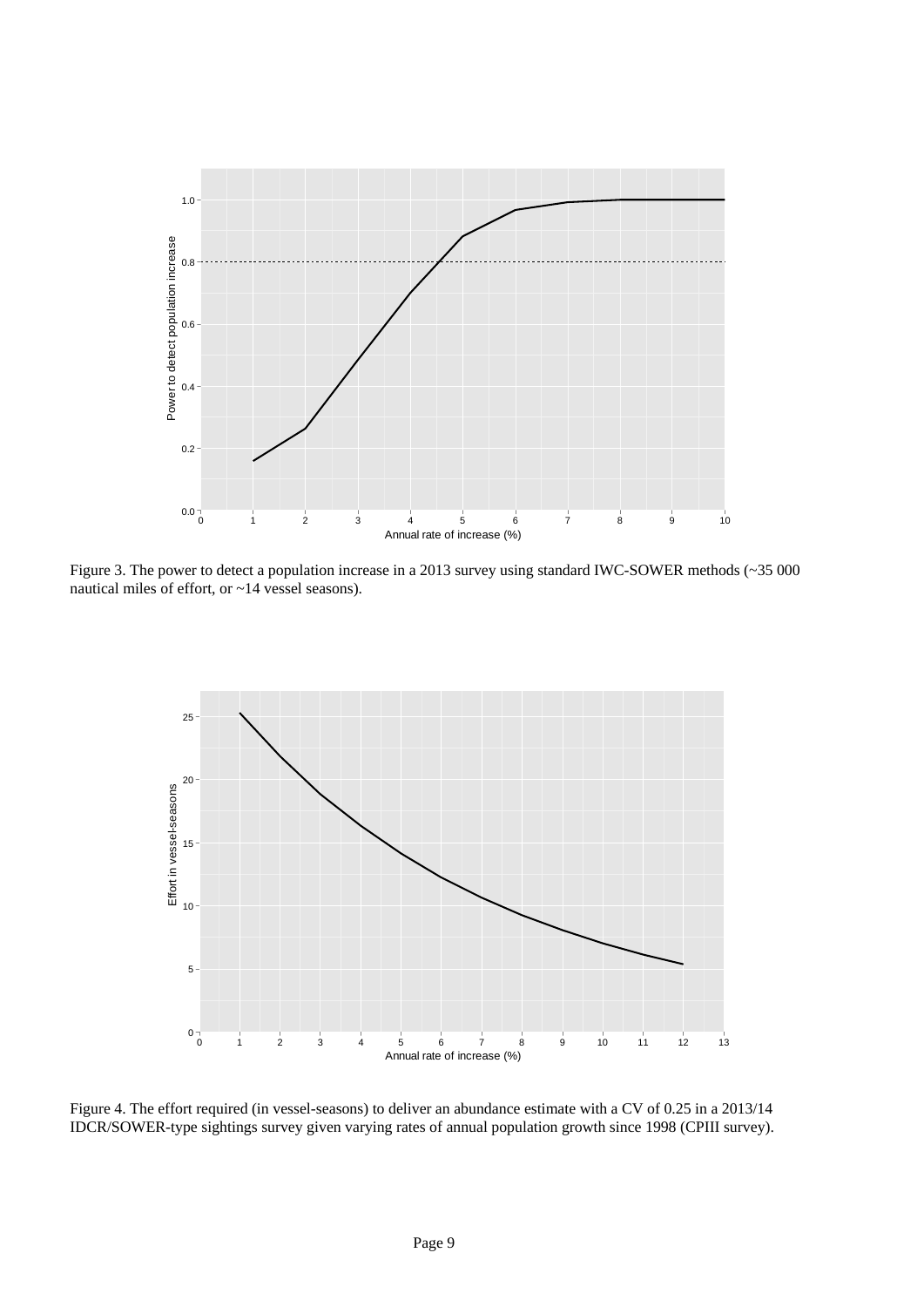

Figure 3. The power to detect a population increase in a 2013 survey using standard IWC-SOWER methods (~35 000 nautical miles of effort, or ~14 vessel seasons).



Figure 4. The effort required (in vessel-seasons) to deliver an abundance estimate with a CV of 0.25 in a 2013/14 IDCR/SOWER-type sightings survey given varying rates of annual population growth since 1998 (CPIII survey).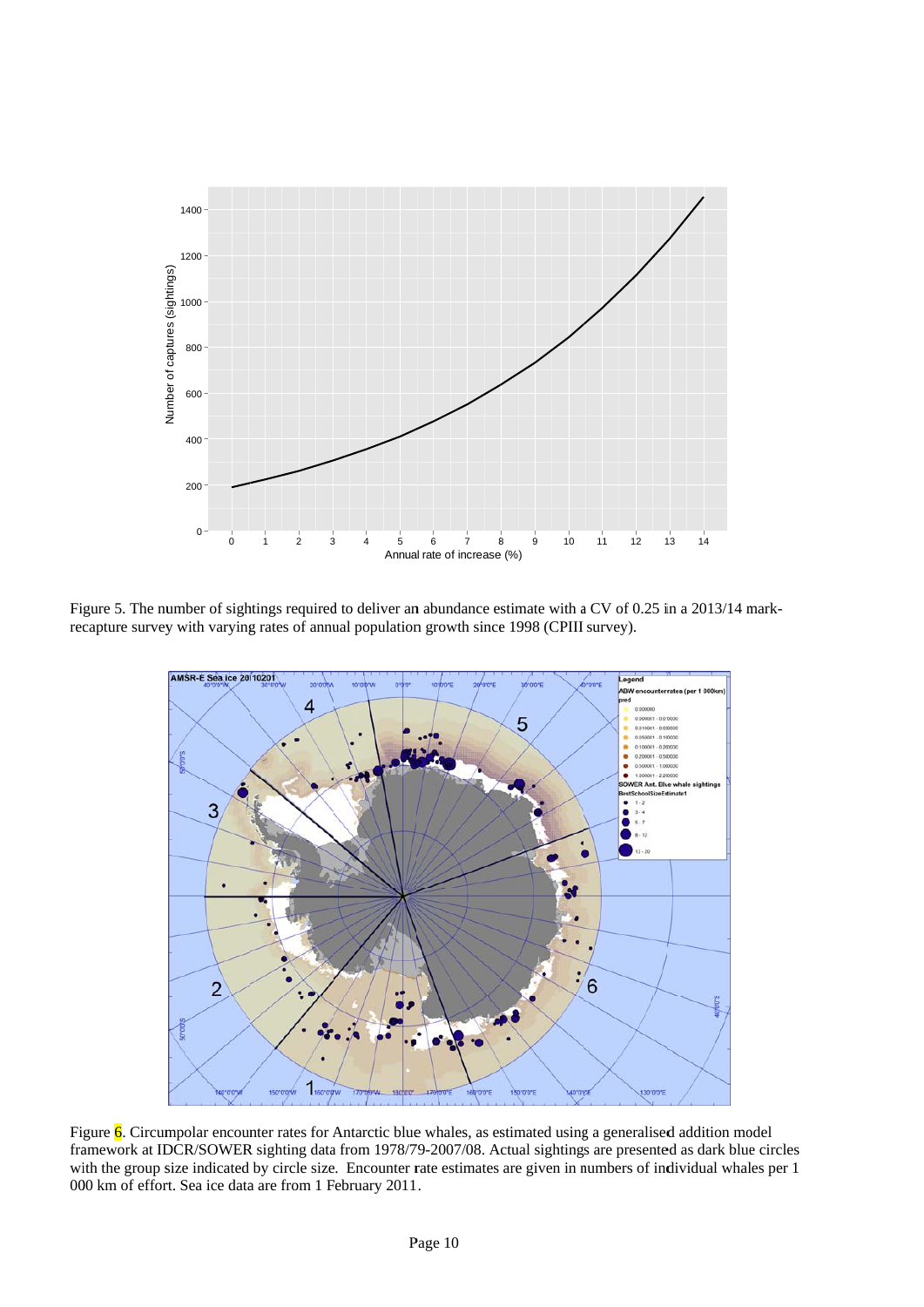

Figure 5. The number of sightings required to deliver an abundance estimate with a CV of 0.25 in a 2013/14 markrecapture survey with varying rates of annual population growth since 1998 (CPIII survey).



Figure 6. Circumpolar encounter rates for Antarctic blue whales, as estimated using a generalised addition model framework at IDCR/SOWER sighting data from 1978/79-2007/08. Actual sightings are presented as dark blue circles with the group size indicated by circle size. Encounter rate estimates are given in numbers of individual whales per 1 000 km of effort. Sea ice data are from 1 February 2011.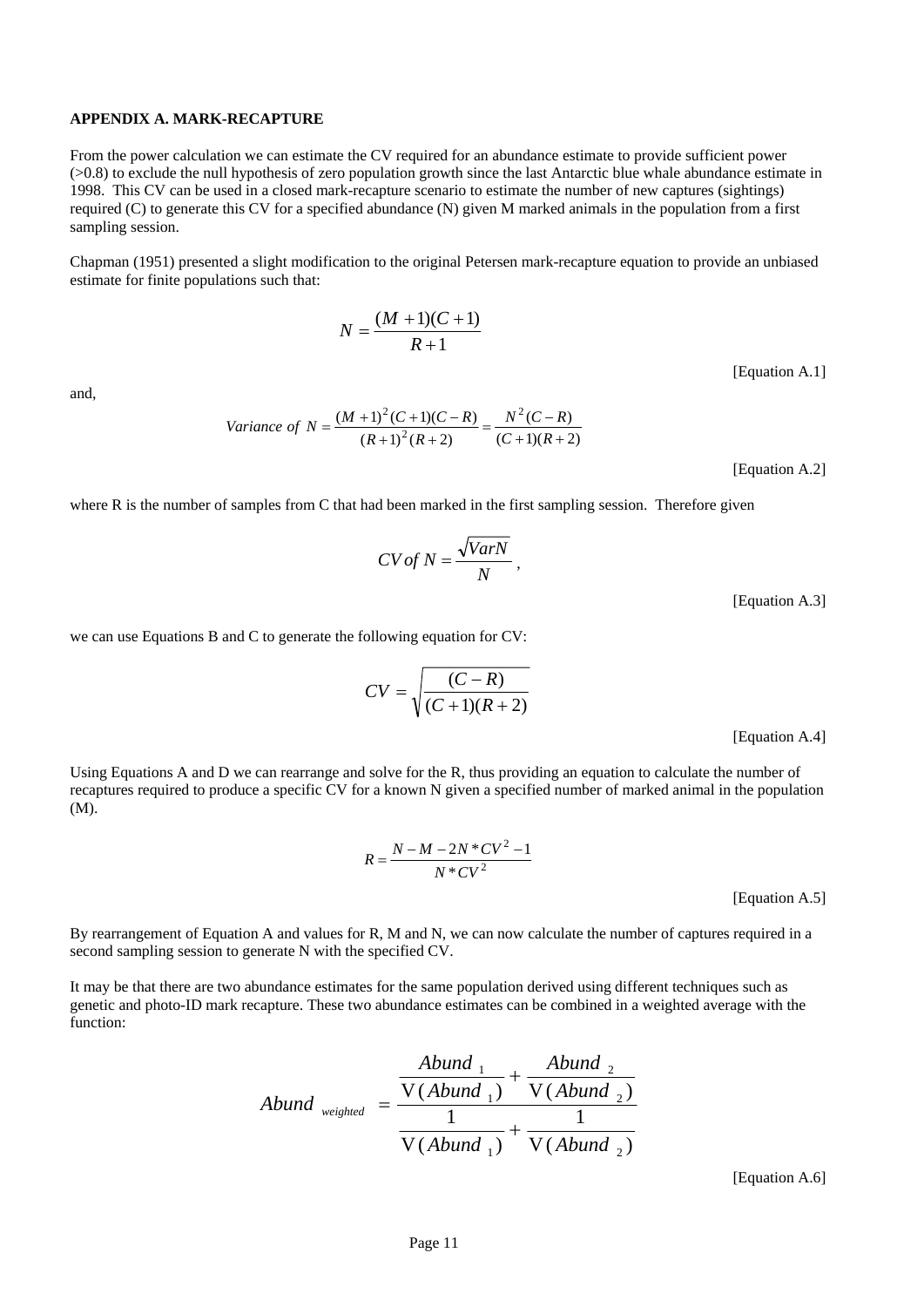#### **APPENDIX A. MARK-RECAPTURE**

From the power calculation we can estimate the CV required for an abundance estimate to provide sufficient power (>0.8) to exclude the null hypothesis of zero population growth since the last Antarctic blue whale abundance estimate in 1998. This CV can be used in a closed mark-recapture scenario to estimate the number of new captures (sightings) required (C) to generate this CV for a specified abundance (N) given M marked animals in the population from a first sampling session.

Chapman (1951) presented a slight modification to the original Petersen mark-recapture equation to provide an unbiased estimate for finite populations such that:

$$
N = \frac{(M+1)(C+1)}{R+1}
$$

and,

Variance of 
$$
N = \frac{(M+1)^2(C+1)(C-R)}{(R+1)^2(R+2)} = \frac{N^2(C-R)}{(C+1)(R+2)}
$$

[Equation A.2]

[Equation A.1]

where R is the number of samples from C that had been marked in the first sampling session. Therefore given

$$
CV of N = \frac{\sqrt{VarN}}{N},
$$

[Equation A.3]

we can use Equations B and C to generate the following equation for CV:

$$
CV = \sqrt{\frac{(C-R)}{(C+1)(R+2)}}
$$

[Equation A.4]

Using Equations A and D we can rearrange and solve for the R, thus providing an equation to calculate the number of recaptures required to produce a specific CV for a known N given a specified number of marked animal in the population (M).

$$
R = \frac{N - M - 2N \cdot CV^2 - 1}{N \cdot CV^2}
$$

[Equation A.5]

By rearrangement of Equation A and values for R, M and N, we can now calculate the number of captures required in a second sampling session to generate N with the specified CV.

It may be that there are two abundance estimates for the same population derived using different techniques such as genetic and photo-ID mark recapture. These two abundance estimates can be combined in a weighted average with the function:

$$
Abund_{weighted} = \frac{\frac{Abund_{1}}{V(Abund_{1})} + \frac{Abund_{2}}{V(Abund_{2})}}{\frac{1}{V(Abund_{1})} + \frac{1}{V(Abund_{2})}}
$$

[Equation A.6]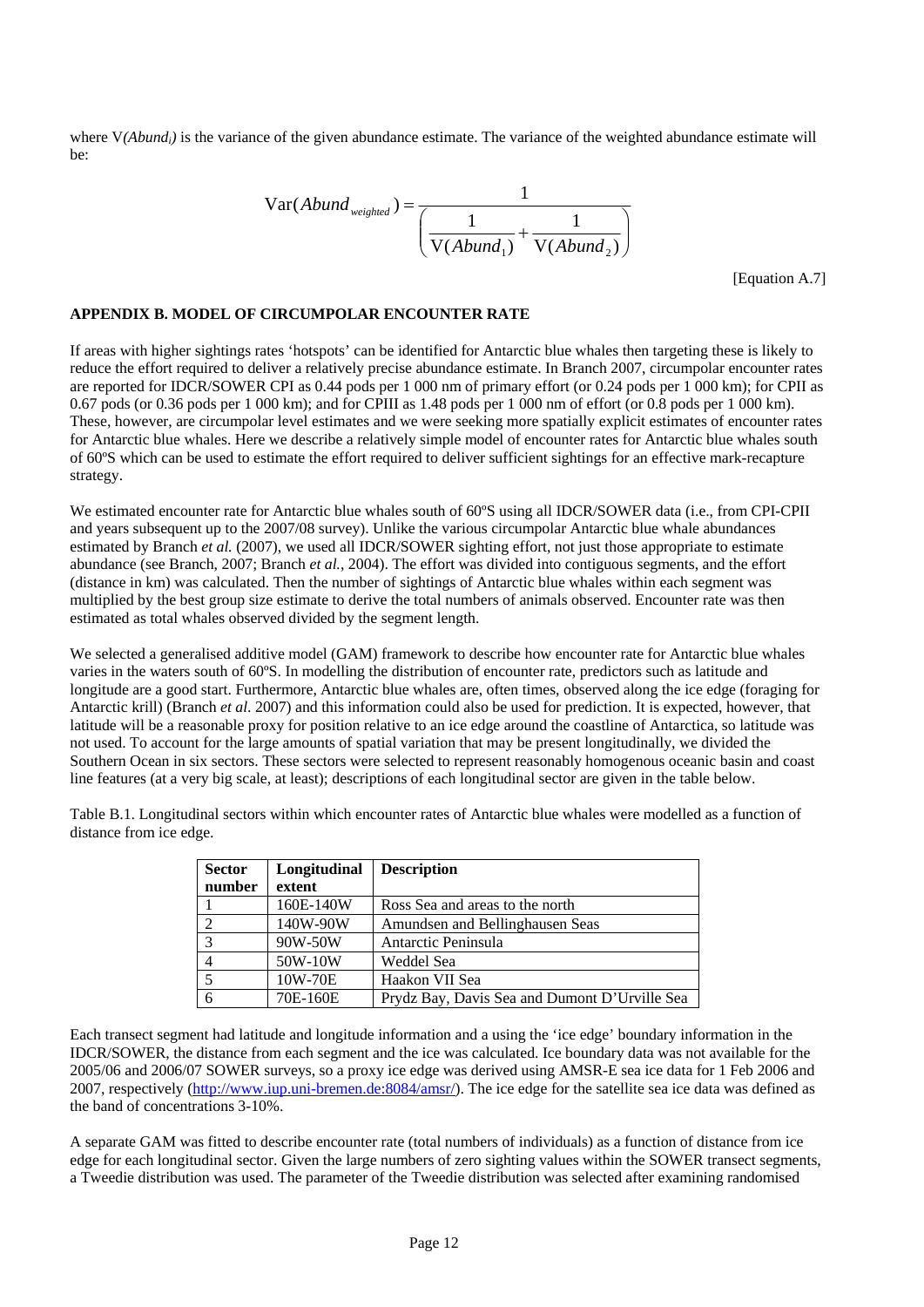where V(Abund<sub>i</sub>) is the variance of the given abundance estimate. The variance of the weighted abundance estimate will be:

$$
Var(Abund_{weighted}) = \frac{1}{\left(\frac{1}{V(Abund_1)} + \frac{1}{V(Abund_2)}\right)}
$$

[Equation A.7]

### **APPENDIX B. MODEL OF CIRCUMPOLAR ENCOUNTER RATE**

If areas with higher sightings rates 'hotspots' can be identified for Antarctic blue whales then targeting these is likely to reduce the effort required to deliver a relatively precise abundance estimate. In Branch 2007, circumpolar encounter rates are reported for IDCR/SOWER CPI as 0.44 pods per 1 000 nm of primary effort (or 0.24 pods per 1 000 km); for CPII as 0.67 pods (or 0.36 pods per 1 000 km); and for CPIII as 1.48 pods per 1 000 nm of effort (or 0.8 pods per 1 000 km). These, however, are circumpolar level estimates and we were seeking more spatially explicit estimates of encounter rates for Antarctic blue whales. Here we describe a relatively simple model of encounter rates for Antarctic blue whales south of 60ºS which can be used to estimate the effort required to deliver sufficient sightings for an effective mark-recapture strategy.

We estimated encounter rate for Antarctic blue whales south of 60°S using all IDCR/SOWER data (i.e., from CPI-CPII and years subsequent up to the 2007/08 survey). Unlike the various circumpolar Antarctic blue whale abundances estimated by Branch *et al.* (2007), we used all IDCR/SOWER sighting effort, not just those appropriate to estimate abundance (see Branch, 2007; Branch *et al.*, 2004). The effort was divided into contiguous segments, and the effort (distance in km) was calculated. Then the number of sightings of Antarctic blue whales within each segment was multiplied by the best group size estimate to derive the total numbers of animals observed. Encounter rate was then estimated as total whales observed divided by the segment length.

We selected a generalised additive model (GAM) framework to describe how encounter rate for Antarctic blue whales varies in the waters south of 60ºS. In modelling the distribution of encounter rate, predictors such as latitude and longitude are a good start. Furthermore, Antarctic blue whales are, often times, observed along the ice edge (foraging for Antarctic krill) (Branch *et al*. 2007) and this information could also be used for prediction. It is expected, however, that latitude will be a reasonable proxy for position relative to an ice edge around the coastline of Antarctica, so latitude was not used. To account for the large amounts of spatial variation that may be present longitudinally, we divided the Southern Ocean in six sectors. These sectors were selected to represent reasonably homogenous oceanic basin and coast line features (at a very big scale, at least); descriptions of each longitudinal sector are given in the table below.

Table B.1. Longitudinal sectors within which encounter rates of Antarctic blue whales were modelled as a function of distance from ice edge.

| <b>Sector</b> | Longitudinal | <b>Description</b>                            |  |
|---------------|--------------|-----------------------------------------------|--|
| number        | extent       |                                               |  |
|               | 160E-140W    | Ross Sea and areas to the north               |  |
|               | 140W-90W     | Amundsen and Bellinghausen Seas               |  |
|               | 90W-50W      | Antarctic Peninsula                           |  |
|               | 50W-10W      | Weddel Sea                                    |  |
|               | 10W-70E      | Haakon VII Sea                                |  |
|               | 70E-160E     | Prydz Bay, Davis Sea and Dumont D'Urville Sea |  |

Each transect segment had latitude and longitude information and a using the 'ice edge' boundary information in the IDCR/SOWER, the distance from each segment and the ice was calculated. Ice boundary data was not available for the 2005/06 and 2006/07 SOWER surveys, so a proxy ice edge was derived using AMSR-E sea ice data for 1 Feb 2006 and 2007, respectively (http://www.iup.uni-bremen.de:8084/amsr/). The ice edge for the satellite sea ice data was defined as the band of concentrations 3-10%.

A separate GAM was fitted to describe encounter rate (total numbers of individuals) as a function of distance from ice edge for each longitudinal sector. Given the large numbers of zero sighting values within the SOWER transect segments, a Tweedie distribution was used. The parameter of the Tweedie distribution was selected after examining randomised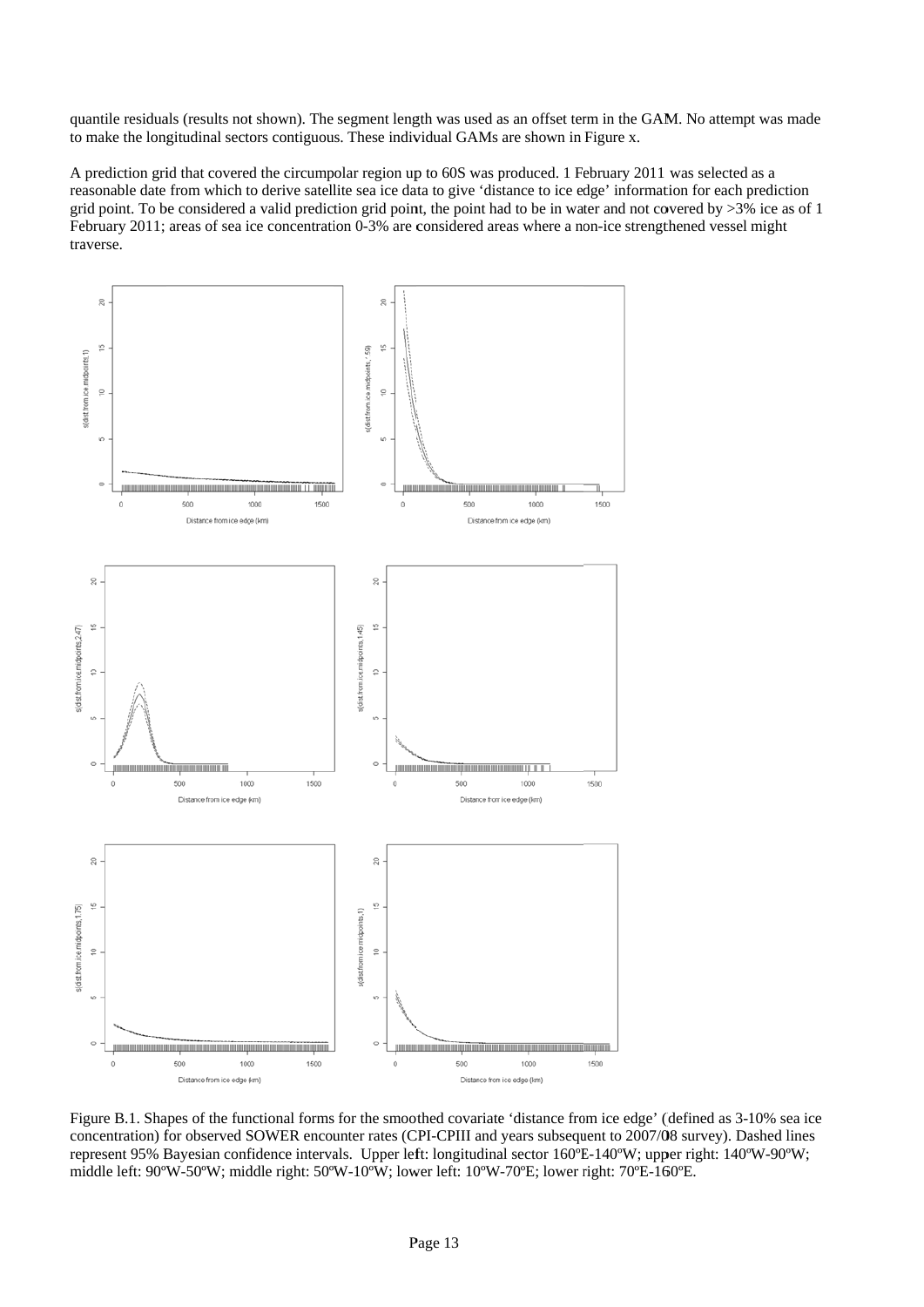quantile residuals (results not shown). The segment length was used as an offset term in the GAM. No attempt was made to make the longitudinal sectors contiguous. These individual GAMs are shown in Figure x.

A prediction grid that covered the circumpolar region up to 60S was produced. 1 February 2011 was selected as a reasonable date from which to derive satellite sea ice data to give 'distance to ice edge' information for each prediction grid point. To be considered a valid prediction grid point, the point had to be in water and not covered by  $>3\%$  ice as of 1 February 2011; areas of sea ice concentration 0-3% are considered areas where a non-ice strengthened vessel might tra averse.



Figure B.1. Shapes of the functional forms for the smoothed covariate 'distance from ice edge' (defined as 3-10% sea ice concentration) for observed SOWER encounter rates (CPI-CPIII and years subsequent to 2007/08 survey). Dashed lines represent 95% Bayesian confidence intervals. Upper left: longitudinal sector 160°E-140°W; upper right: 140°W-90°W; middle left: 90°W-50°W; middle right: 50°W-10°W; lower left: 10°W-70°E; lower right: 70°E-160°E.